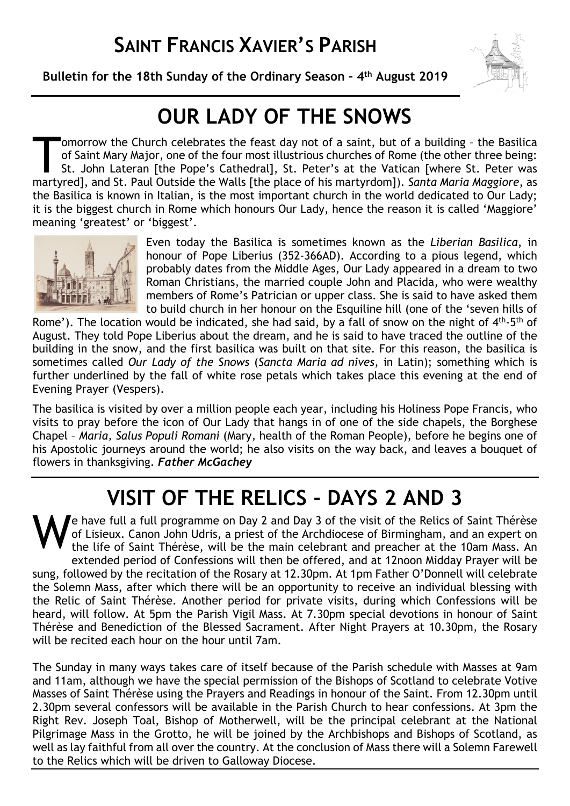#### **SAINT FRANCIS XAVIER'S PARISH**

**Bulletin for the 18th Sunday of the Ordinary Season – 4th August 2019**



#### **OUR LADY OF THE SNOWS**

omorrow the Church celebrates the feast day not of a saint, but of a building – the Basilica of Saint Mary Major, one of the four most illustrious churches of Rome (the other three being: St. John Lateran [the Pope's Cathedral], St. Peter's at the Vatican [where St. Peter was martyred], and St. Paul Outside the Walls [the place of his martyrdom]). *Santa Maria Maggiore*, as martyred], and St. Paul Outside the Walls [the place of his martyrdom]). *Santa Maria Maggiore*, as martyred and St. Paul the Basilica is known in Italian, is the most important church in the world dedicated to Our Lady; it is the biggest church in Rome which honours Our Lady, hence the reason it is called 'Maggiore' meaning 'greatest' or 'biggest'.



Even today the Basilica is sometimes known as the *Liberian Basilica*, in honour of Pope Liberius (352-366AD). According to a pious legend, which probably dates from the Middle Ages, Our Lady appeared in a dream to two Roman Christians, the married couple John and Placida, who were wealthy members of Rome's Patrician or upper class. She is said to have asked them to build church in her honour on the Esquiline hill (one of the 'seven hills of

Rome'). The location would be indicated, she had said, by a fall of snow on the night of 4<sup>th</sup>-5<sup>th</sup> of August. They told Pope Liberius about the dream, and he is said to have traced the outline of the building in the snow, and the first basilica was built on that site. For this reason, the basilica is sometimes called *Our Lady of the Snows* (*Sancta Maria ad nives*, in Latin); something which is further underlined by the fall of white rose petals which takes place this evening at the end of Evening Prayer (Vespers).

The basilica is visited by over a million people each year, including his Holiness Pope Francis, who visits to pray before the icon of Our Lady that hangs in of one of the side chapels, the Borghese Chapel – *Maria, Salus Populi Romani* (Mary, health of the Roman People), before he begins one of his Apostolic journeys around the world; he also visits on the way back, and leaves a bouquet of flowers in thanksgiving. *Father McGachey*

#### **VISIT OF THE RELICS - DAYS 2 AND 3**

e have full a full programme on Day 2 and Day 3 of the visit of the Relics of Saint Thérèse of Lisieux. Canon John Udris, a priest of the Archdiocese of Birmingham, and an expert on the life of Saint Thérèse, will be the main celebrant and preacher at the 10am Mass. An extended period of Confessions will then be offered, and at 12noon Midday Prayer will be sung, followed by the recitation of the Rosary at 12.30pm. At 1pm Father O'Donnell will celebrate the Solemn Mass, after which there will be an opportunity to receive an individual blessing with the Relic of Saint Thérèse. Another period for private visits, during which Confessions will be heard, will follow. At 5pm the Parish Vigil Mass. At 7.30pm special devotions in honour of Saint Thérèse and Benediction of the Blessed Sacrament. After Night Prayers at 10.30pm, the Rosary will be recited each hour on the hour until 7am. W

The Sunday in many ways takes care of itself because of the Parish schedule with Masses at 9am and 11am, although we have the special permission of the Bishops of Scotland to celebrate Votive Masses of Saint Thérèse using the Prayers and Readings in honour of the Saint. From 12.30pm until 2.30pm several confessors will be available in the Parish Church to hear confessions. At 3pm the Right Rev. Joseph Toal, Bishop of Motherwell, will be the principal celebrant at the National Pilgrimage Mass in the Grotto, he will be joined by the Archbishops and Bishops of Scotland, as well as lay faithful from all over the country. At the conclusion of Mass there will a Solemn Farewell to the Relics which will be driven to Galloway Diocese.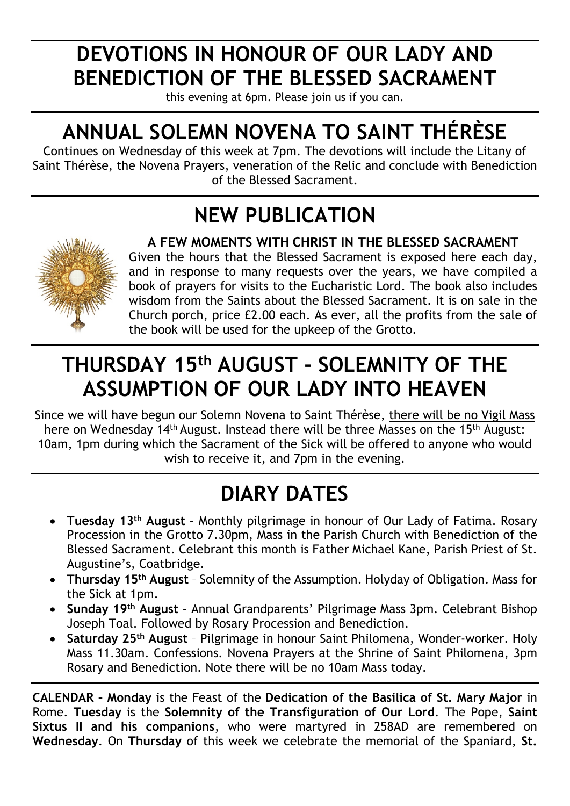## **DEVOTIONS IN HONOUR OF OUR LADY AND BENEDICTION OF THE BLESSED SACRAMENT**

this evening at 6pm. Please join us if you can.

# **ANNUAL SOLEMN NOVENA TO SAINT THÉRÈSE**

Continues on Wednesday of this week at 7pm. The devotions will include the Litany of Saint Thérèse, the Novena Prayers, veneration of the Relic and conclude with Benediction of the Blessed Sacrament.

## **NEW PUBLICATION**



**A FEW MOMENTS WITH CHRIST IN THE BLESSED SACRAMENT**

Given the hours that the Blessed Sacrament is exposed here each day, and in response to many requests over the years, we have compiled a book of prayers for visits to the Eucharistic Lord. The book also includes wisdom from the Saints about the Blessed Sacrament. It is on sale in the Church porch, price £2.00 each. As ever, all the profits from the sale of the book will be used for the upkeep of the Grotto.

### **THURSDAY 15th AUGUST - SOLEMNITY OF THE ASSUMPTION OF OUR LADY INTO HEAVEN**

Since we will have begun our Solemn Novena to Saint Thérèse, there will be no Vigil Mass here on Wednesday 14<sup>th</sup> August. Instead there will be three Masses on the 15<sup>th</sup> August: 10am, 1pm during which the Sacrament of the Sick will be offered to anyone who would wish to receive it, and 7pm in the evening.

## **DIARY DATES**

- **Tuesday 13th August** Monthly pilgrimage in honour of Our Lady of Fatima. Rosary Procession in the Grotto 7.30pm, Mass in the Parish Church with Benediction of the Blessed Sacrament. Celebrant this month is Father Michael Kane, Parish Priest of St. Augustine's, Coatbridge.
- **Thursday 15th August**  Solemnity of the Assumption. Holyday of Obligation. Mass for the Sick at 1pm.
- **Sunday 19th August** Annual Grandparents' Pilgrimage Mass 3pm. Celebrant Bishop Joseph Toal. Followed by Rosary Procession and Benediction.
- **Saturday 25th August**  Pilgrimage in honour Saint Philomena, Wonder-worker. Holy Mass 11.30am. Confessions. Novena Prayers at the Shrine of Saint Philomena, 3pm Rosary and Benediction. Note there will be no 10am Mass today.

**CALENDAR – Monday** is the Feast of the **Dedication of the Basilica of St. Mary Major** in Rome. **Tuesday** is the **Solemnity of the Transfiguration of Our Lord**. The Pope, **Saint Sixtus II and his companions**, who were martyred in 258AD are remembered on **Wednesday**. On **Thursday** of this week we celebrate the memorial of the Spaniard, **St.**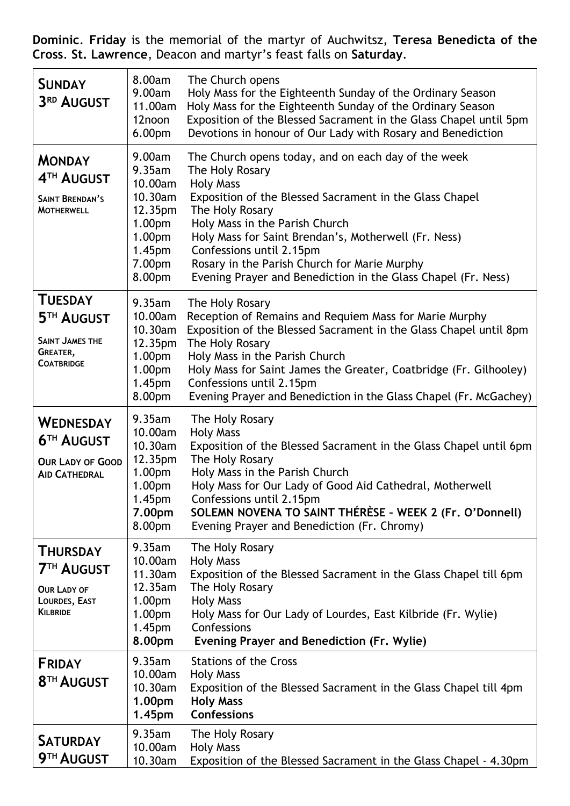**Dominic**. **Friday** is the memorial of the martyr of Auchwitsz, **Teresa Benedicta of the Cross**. **St. Lawrence**, Deacon and martyr's feast falls on **Saturday**.

| <b>SUNDAY</b><br>3RD AUGUST                                                                    | 8.00am<br>9.00am<br>11.00am<br>12noon<br>6.00 <sub>pm</sub>                                                                             | The Church opens<br>Holy Mass for the Eighteenth Sunday of the Ordinary Season<br>Holy Mass for the Eighteenth Sunday of the Ordinary Season<br>Exposition of the Blessed Sacrament in the Glass Chapel until 5pm<br>Devotions in honour of Our Lady with Rosary and Benediction                                                                                                                                |
|------------------------------------------------------------------------------------------------|-----------------------------------------------------------------------------------------------------------------------------------------|-----------------------------------------------------------------------------------------------------------------------------------------------------------------------------------------------------------------------------------------------------------------------------------------------------------------------------------------------------------------------------------------------------------------|
| <b>MONDAY</b><br>4 <sup>TH</sup> AUGUST<br><b>SAINT BRENDAN'S</b><br><b>MOTHERWELL</b>         | 9.00am<br>9.35am<br>10.00am<br>10.30am<br>12.35pm<br>1.00 <sub>pm</sub><br>1.00 <sub>pm</sub><br>1.45 <sub>pm</sub><br>7.00pm<br>8.00pm | The Church opens today, and on each day of the week<br>The Holy Rosary<br><b>Holy Mass</b><br>Exposition of the Blessed Sacrament in the Glass Chapel<br>The Holy Rosary<br>Holy Mass in the Parish Church<br>Holy Mass for Saint Brendan's, Motherwell (Fr. Ness)<br>Confessions until 2.15pm<br>Rosary in the Parish Church for Marie Murphy<br>Evening Prayer and Benediction in the Glass Chapel (Fr. Ness) |
| <b>TUESDAY</b><br><b>5TH AUGUST</b><br><b>SAINT JAMES THE</b><br>GREATER,<br><b>COATBRIDGE</b> | 9.35am<br>10.00am<br>10.30am<br>12.35pm<br>1.00 <sub>pm</sub><br>1.00 <sub>pm</sub><br>1.45 <sub>pm</sub><br>8.00pm                     | The Holy Rosary<br>Reception of Remains and Requiem Mass for Marie Murphy<br>Exposition of the Blessed Sacrament in the Glass Chapel until 8pm<br>The Holy Rosary<br>Holy Mass in the Parish Church<br>Holy Mass for Saint James the Greater, Coatbridge (Fr. Gilhooley)<br>Confessions until 2.15pm<br>Evening Prayer and Benediction in the Glass Chapel (Fr. McGachey)                                       |
| <b>WEDNESDAY</b><br>6 <sup>TH</sup> AUGUST<br><b>OUR LADY OF GOOD</b><br><b>AID CATHEDRAL</b>  | $9.35$ am<br>10.00am<br>10.30am<br>12.35pm<br>1.00 <sub>pm</sub><br>1.00 <sub>pm</sub><br>1.45pm<br>7.00pm<br>8.00pm                    | The Holy Rosary<br><b>Holy Mass</b><br>Exposition of the Blessed Sacrament in the Glass Chapel until 6pm<br>The Holy Rosary<br>Holy Mass in the Parish Church<br>Holy Mass for Our Lady of Good Aid Cathedral, Motherwell<br>Confessions until 2.15pm<br>SOLEMN NOVENA TO SAINT THÉRÈSE - WEEK 2 (Fr. O'Donnell)<br>Evening Prayer and Benediction (Fr. Chromy)                                                 |
| <b>THURSDAY</b><br><b>7TH AUGUST</b><br><b>OUR LADY OF</b><br>LOURDES, EAST<br><b>KILBRIDE</b> | $9.35$ am<br>10.00am<br>11.30am<br>12.35am<br>1.00 <sub>pm</sub><br>1.00 <sub>pm</sub><br>1.45 <sub>pm</sub><br>8.00pm                  | The Holy Rosary<br><b>Holy Mass</b><br>Exposition of the Blessed Sacrament in the Glass Chapel till 6pm<br>The Holy Rosary<br><b>Holy Mass</b><br>Holy Mass for Our Lady of Lourdes, East Kilbride (Fr. Wylie)<br>Confessions<br><b>Evening Prayer and Benediction (Fr. Wylie)</b>                                                                                                                              |
| <b>FRIDAY</b><br>8 <sup>TH</sup> AUGUST                                                        | $9.35$ am<br>10.00am<br>10.30am<br>1.00pm<br>1.45 <sub>pm</sub>                                                                         | <b>Stations of the Cross</b><br><b>Holy Mass</b><br>Exposition of the Blessed Sacrament in the Glass Chapel till 4pm<br><b>Holy Mass</b><br><b>Confessions</b>                                                                                                                                                                                                                                                  |
| <b>SATURDAY</b><br>9 <sup>TH</sup> AUGUST                                                      | $9.35$ am<br>10.00am<br>10.30am                                                                                                         | The Holy Rosary<br><b>Holy Mass</b><br>Exposition of the Blessed Sacrament in the Glass Chapel - 4.30pm                                                                                                                                                                                                                                                                                                         |